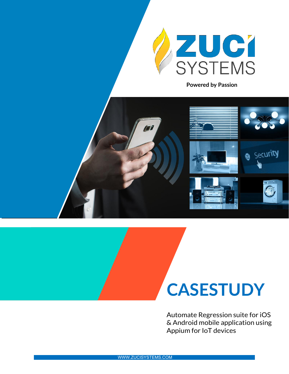

**Powered by Passion**



# **CASESTUDY**

Automate Regression suite for iOS & Android mobile application using Appium for IoT devices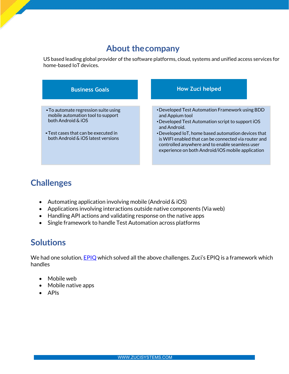### **About thecompany**

US based leading global provider of the software platforms, cloud, systems and unified access services for home-based IoT devices.



## **Challenges**

- Automating application involving mobile (Android  $\&$  iOS)
- Applications involving interactions outside native components (Via web)
- Handling API actions and validating response on the native apps
- Single framework to handle Test Automation across platforms

#### **Solutions**

We had one solution, **EPIQ** which solved all the above challenges. Zuci's [EPIQ](https://www.zucisystems.com/epiq/) is a framework which handles

- Mobile web
- Mobile native apps
- APIs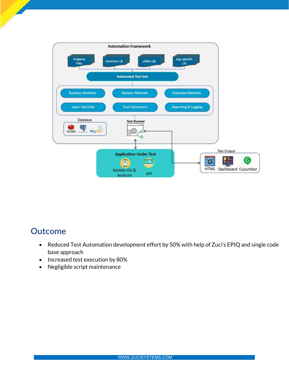

#### **Outcome**

- Reduced Test Automation development effort by 50% with help of Zuci's EPIQ and single code base approach
- Increased test execution by 80%
- Negligible script maintenance